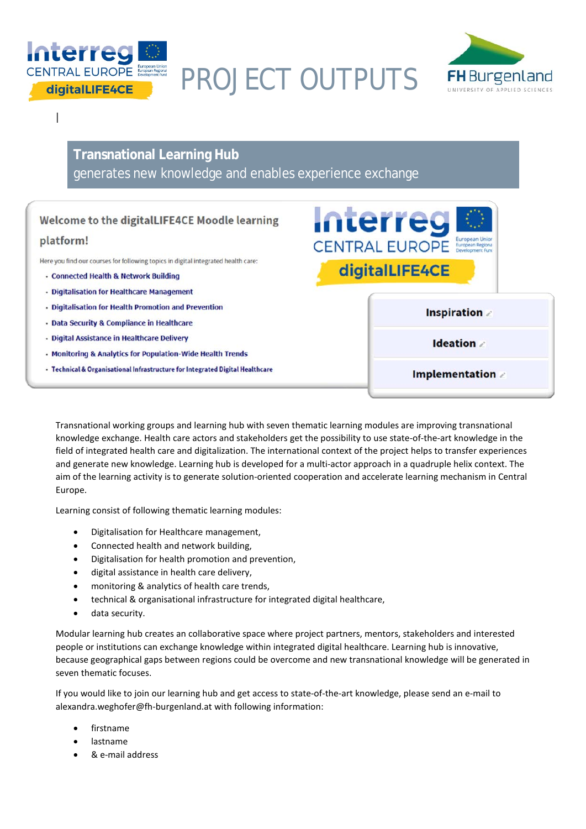

PROJECT OUTPUTS



I

## **Transnational Learning Hub** generates new knowledge and enables experience exchange

## Welcome to the digitalLIFE4CE Moodle learning

## platform!

Here you find our courses for following topics in digital integrated health care:

- · Connected Health & Network Building
- · Digitalisation for Healthcare Management
- Digitalisation for Health Promotion and Prevention
- · Data Security & Compliance in Healthcare
- · Digital Assistance in Healthcare Delivery
- Monitoring & Analytics for Population-Wide Health Trends
- Technical & Organisational Infrastructure for Integrated Digital Healthcare



Transnational working groups and learning hub with seven thematic learning modules are improving transnational knowledge exchange. Health care actors and stakeholders get the possibility to use state-of-the-art knowledge in the field of integrated health care and digitalization. The international context of the project helps to transfer experiences and generate new knowledge. Learning hub is developed for a multi-actor approach in a quadruple helix context. The aim of the learning activity is to generate solution-oriented cooperation and accelerate learning mechanism in Central Europe.

Learning consist of following thematic learning modules:

- Digitalisation for Healthcare management,
- Connected health and network building,
- Digitalisation for health promotion and prevention,
- digital assistance in health care delivery,
- monitoring & analytics of health care trends,
- technical & organisational infrastructure for integrated digital healthcare,
- data security.

Modular learning hub creates an collaborative space where project partners, mentors, stakeholders and interested people or institutions can exchange knowledge within integrated digital healthcare. Learning hub is innovative, because geographical gaps between regions could be overcome and new transnational knowledge will be generated in seven thematic focuses.

If you would like to join our learning hub and get access to state-of-the-art knowledge, please send an e-mail to alexandra.weghofer@fh-burgenland.at with following information:

- firstname
- lastname
- & e-mail address